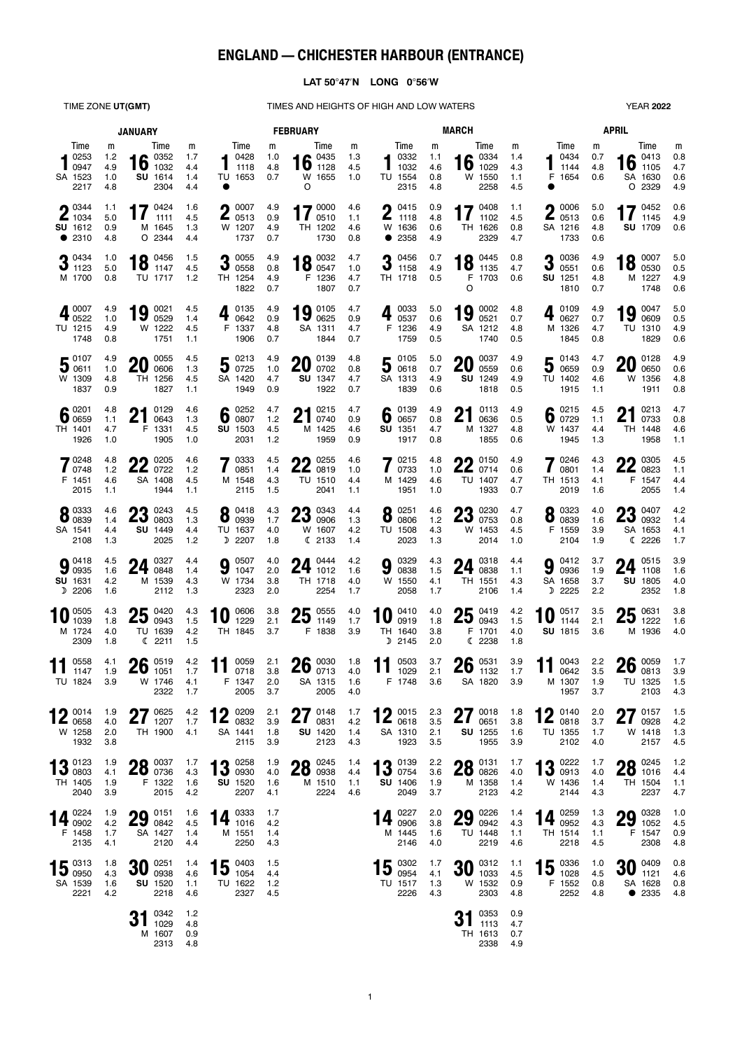# **ENGLAND — CHICHESTER HARBOUR (ENTRANCE)**

## **LAT 5047N LONG 056W**

TIME ZONE UT(GMT) TIMES AND HEIGHTS OF HIGH AND LOW WATERS YEAR 2022

| <b>JANUARY</b>                                                    |                               |                                                                     |                               | <b>FEBRUARY</b>                                      |                          |                                                          |                          | <b>MARCH</b>                                 |                               |                                                        |                               | <b>APRIL</b>                                        |                          |                                                                                       |                               |
|-------------------------------------------------------------------|-------------------------------|---------------------------------------------------------------------|-------------------------------|------------------------------------------------------|--------------------------|----------------------------------------------------------|--------------------------|----------------------------------------------|-------------------------------|--------------------------------------------------------|-------------------------------|-----------------------------------------------------|--------------------------|---------------------------------------------------------------------------------------|-------------------------------|
| Time<br>$\blacksquare$ 0253<br>0947<br>SA 1523<br>2217            | m<br>1.2<br>4.9<br>1.0<br>4.8 | Time<br>$\bullet$ 0352<br>$16 \frac{0352}{1032}$<br>SU 1614<br>2304 | m<br>1.7<br>4.4<br>1.4<br>4.4 | Time<br>0428<br>1118<br>TU 1653                      | m<br>1.0<br>4.8<br>0.7   | Time<br>16 $^{0435}_{1128}$<br>W 1655<br>O               | m<br>1.3<br>4.5<br>1.0   | Time<br>0332<br>1032<br>TU 1554<br>2315      | m<br>1.1<br>4.6<br>0.8<br>4.8 | Time<br>$\bullet$ 0334<br>16<br>1029<br>W 1550<br>2258 | m<br>1.4<br>4.3<br>1.1<br>4.5 | Time<br>0434<br>1144<br>F 1654                      | m<br>0.7<br>4.8<br>0.6   | Time<br>$\bullet$ 0413<br>$16 \ \substack{0413 \ 1105}$<br>SA 1630<br>O 2329          | m<br>0.8<br>4.7<br>0.6<br>4.9 |
| $\bigcap$ 0344<br>$\blacktriangle$ 1034<br>SU 1612<br>• 2310      | 1.1<br>5.0<br>0.9<br>4.8      | 17 $^{0424}_{1111}$<br>1111<br>M 1645<br>O 2344                     | 1.6<br>4.5<br>1.3<br>4.4      | 0007<br>Λ<br>$\blacktriangle$ 0513<br>W 1207<br>1737 | 4.9<br>0.9<br>4.9<br>0.7 | 170000<br>0510<br>TH 1202<br>1730                        | 4.6<br>1.1<br>4.6<br>0.8 | 0415<br>Λ<br>L<br>1118<br>W 1636<br>• 2358   | 0.9<br>4.8<br>0.6<br>4.9      | $47$ 0408<br>1102<br>TH 1626<br>2329                   | 1.1<br>4.5<br>0.8<br>4.7      | 0006<br>Λ<br>$\mathbf{Z}$ 0513<br>SA 1216<br>1733   | 5.0<br>0.6<br>4.8<br>0.6 | $17^{0452}$<br><b>1</b> $1145$<br><b>SU</b> 1709                                      | 0.6<br>4.9<br>0.6             |
| 20434<br>$J$ 1123<br>M 1700                                       | 1.0<br>5.0<br>0.8             | 0456<br>18<br>1147<br>TU 1717                                       | 1.5<br>4.5<br>1.2             | 20055<br>0558<br>TH 1254<br>1822                     | 4.9<br>0.8<br>4.9<br>0.7 | 0032<br>18 $_{0547}^{0032}$<br>F 1236<br>1807            | 4.7<br>1.0<br>4.7<br>0.7 | 0456<br>3<br>1158<br>TH 1718                 | 0.7<br>4.9<br>0.5             | 18 $^{0445}_{1135}$<br>F 1703<br>O                     | 0.8<br>4.7<br>0.6             | 0036<br>2<br>J<br>0551<br>SU 1251<br>1810           | 4.9<br>0.6<br>4.8<br>0.7 | $18\degree 0007\degree 00007$<br>M 1227<br>1748                                       | 5.0<br>0.5<br>4.9<br>0.6      |
| $\blacksquare$ 0007<br>$4\frac{333}{0522}$<br>TU 1215<br>1748     | 4.9<br>1.0<br>4.9<br>0.8      | 0021<br>19<br>0529<br>W 1222<br>1751                                | 4.5<br>1.4<br>4.5<br>1.1      | 0135<br>4<br>0642<br>F 1337<br>1906                  | 4.9<br>0.9<br>4.8<br>0.7 | $19 \frac{0105}{0625}$<br>SA 1311<br>1844                | 4.7<br>0.9<br>4.7<br>0.7 | 0033<br>4<br>0537<br>F 1236<br>1759          | 5.0<br>0.6<br>4.9<br>0.5      | 0002<br>19<br>0521<br>SA 1212<br>1740                  | 4.8<br>0.7<br>4.8<br>0.5      | 0109<br>0627<br>M 1326<br>1845                      | 4.9<br>0.7<br>4.7<br>0.8 | 19 $_{0609}^{0047}$<br>TU 1310<br>1829                                                | 5.0<br>0.5<br>4.9<br>0.6      |
| 50107<br>300011<br>W 1309<br>1837                                 | 4.9<br>1.0<br>4.8<br>0.9      | 0055<br>20<br>0606<br>TH 1256<br>1827                               | 4.5<br>1.3<br>4.5<br>1.1      | 50213<br>SA 1420<br>1949                             | 4.9<br>1.0<br>4.7<br>0.9 | 0139<br>ZU<br>0702<br><b>SU</b> 1347<br>1922             | 4.8<br>0.8<br>4.7<br>0.7 | 50105<br>SA 1313<br>1839                     | 5.0<br>0.7<br>4.9<br>0.6      | 0037<br>20<br>0559<br>SU 1249<br>1818                  | 4.9<br>0.6<br>4.9<br>0.5      | $5\degree$ <sup>0143</sup><br>TU 1402<br>1915       | 4.7<br>0.9<br>4.6<br>1.1 | 0128<br>20<br>0650<br>W 1356<br>1911                                                  | 4.9<br>0.6<br>4.8<br>0.8      |
| $6\degree$ 0201<br>TH 1401<br>1926                                | 4.8<br>1.1<br>4.7<br>1.0      | 0129<br>ŋ1<br>$\mathbf{Z}$<br>0643<br>F 1331<br>1905                | 4.6<br>1.3<br>4.5<br>1.0      | $6 \frac{0252}{0807}$<br><b>SU</b> 1503<br>2031      | 4.7<br>1.2<br>4.5<br>1.2 | 0215<br>Λ1<br>Z I<br>0740<br>M 1425<br>1959              | 4.7<br>0.9<br>4.6<br>0.9 | 0139<br>6<br>0657<br>SU 1351<br>1917         | 4.9<br>0.8<br>4.7<br>0.8      | 0113<br>ŋ1<br>4 I<br>0636<br>M 1327<br>1855            | 4.9<br>0.5<br>4.8<br>0.6      | 6 $^{0215}_{0729}$<br>W 1437<br>1945                | 4.5<br>1.1<br>4.4<br>1.3 | $91$ 0213<br>Z I<br>0733<br>TH 1448<br>1958                                           | 4.7<br>0.8<br>4.6<br>1.1      |
| 70248<br>$\blacksquare$ 0748<br>F 1451<br>2015                    | 4.8<br>1.2<br>4.6<br>1.1      | 0205<br>$22^{0205}_{0722}$<br>SA 1408<br>1944                       | 4.6<br>1.2<br>4.5<br>1.1      | 0333<br>0851<br>M 1548<br>2115                       | 4.5<br>1.4<br>4.3<br>1.5 | 0255<br>nn<br><b>ZZ</b> 0819<br>TU 1510<br>2041          | 4.6<br>1.0<br>4.4<br>1.1 | 0215<br>0733<br>M 1429<br>1951               | 4.8<br>1.0<br>4.6<br>1.0      | 0150<br>$22^{0150}_{0714}$<br>TU 1407<br>1933          | 4.9<br>0.6<br>4.7<br>0.7      | 0246<br>0801<br>TH 1513<br>2019                     | 4.3<br>1.4<br>4.1<br>1.6 | $\bigcap$ 0305<br><b>ZZ</b> 0823<br>F 1547<br>2055                                    | 4.5<br>1.1<br>4.4<br>1.4      |
| 8 0333<br>SA 1541<br>2108                                         | 4.6<br>1.4<br>4.4<br>1.3      | 0243<br>מח<br><u>∠ა</u><br>0803<br>SU 1449<br>2025                  | 4.5<br>1.3<br>4.4<br>1.2      | $8^{0418}_{0939}$<br>TU 1637<br>D 2207               | 4.3<br>1.7<br>4.0<br>1.8 | 20.0343<br><b>ZJ</b> 0906<br>W 1607<br>C 2133            | 4.4<br>1.3<br>4.2<br>1.4 | 0251<br>8<br>0806<br>TU 1508<br>2023         | 4.6<br>1.2<br>4.3<br>1.3      | $23^{0230}_{0753}$<br>W 1453<br>2014                   | 4.7<br>0.8<br>4.5<br>1.0      | $8\degree$ 0323<br>F 1559<br>2104                   | 4.0<br>1.6<br>3.9<br>1.9 | <b>00 0407</b><br>$\mathbf{\mathcal{L}}\mathbf{\mathsf{J}}$ 0932<br>SA 1653<br>C 2226 | 4.2<br>1.4<br>4.1<br>1.7      |
| $9^{0418}_{0935}$<br>SU 1631<br>D 2206                            | 4.5<br>1.6<br>4.2<br>1.6      | 0327<br>24<br>0848<br>M 1539<br>2112                                | 4.4<br>1.4<br>4.3<br>1.3      | 0507<br>9<br>1047<br>W 1734<br>2323                  | 4.0<br>2.0<br>3.8<br>2.0 | $24^{0444}_{1012}$<br>TH 1718<br>2254                    | 4.2<br>1.6<br>4.0<br>1.7 | 0329<br>9<br>0838<br>W 1550<br>2058          | 4.3<br>1.5<br>4.1<br>1.7      | $24 \, \frac{0318}{0838}$<br>TH 1551<br>2106           | 4.4<br>1.1<br>4.3<br>1.4      | 0412<br>9<br>0936<br>SA 1658<br>D 2225              | 3.7<br>1.9<br>3.7<br>2.2 | $24^{0515}_{1108}$<br>SU 1805<br>2352                                                 | 3.9<br>1.6<br>4.0<br>1.8      |
| 0505<br>1039<br>M 1724<br>2309                                    | 4.3<br>1.8<br>4.0<br>1.8      | 25<br>0420<br>0943<br>TU 1639<br>C 2211                             | 4.3<br>1.5<br>4.2<br>1.5      | 0606<br>10<br>1229<br>TH 1845                        | 3.8<br>2.1<br>3.7        | $25_{1149}^{0555}$<br>1149<br>F 1838                     | 4.0<br>1.7<br>3.9        | 0410<br>0919<br>TH 1640<br>D 2145            | 4.0<br>1.8<br>3.8<br>2.0      | 25<br>0419<br>0943<br>F 1701<br>C 2238                 | 4.2<br>1.5<br>4.0<br>1.8      | 0517<br>10<br>1144<br>SU 1815                       | 3.5<br>2.1<br>3.6        | $25^{0631}_{1222}$<br>M 1936                                                          | 3.8<br>1.6<br>4.0             |
| 0558<br>1147<br>TU 1824                                           | 4.1<br>1.9<br>3.9             | 0519<br>26<br>1051<br>W 1746<br>2322                                | 4.2<br>1.7<br>4.1<br>1.7      | 0059<br>11<br>0718<br>F 1347<br>2005                 | 2.1<br>3.8<br>2.0<br>3.7 | $26 \frac{0030}{0713}$<br>SA 1315<br>2005                | 1.8<br>4.0<br>1.6<br>4.0 | 0503<br>11<br>1029<br>F 1748                 | 3.7<br>2.1<br>3.6             | $26 \tfrac{0531}{1132}$<br>SA 1820                     | 3.9<br>1.7<br>3.9             | 11 $^{0043}_{0642}$<br>M 1307<br>1957               | 2.2<br>3.5<br>1.9<br>3.7 | $26 \frac{0059}{0813}$<br>TU 1325<br>2103                                             | 1.7<br>3.9<br>1.5<br>4.3      |
| $\bigcirc$ 0014<br>$\mathsf{L}_{\mathsf{0658}}$<br>W 1258<br>1932 | 1.9<br>4.0<br>2.0<br>3.8      | 770625<br>211207<br>TH 1900                                         | 4.2<br>1.7<br>4.1             | 10009<br>$\mathbf{Z}_{0832}$<br>SA 1441<br>2115      | 2.1<br>3.9<br>1.8<br>3.9 | $27$ 0148<br><u>ZI</u><br>0831<br><b>SU 1420</b><br>2123 | 1.7<br>4.2<br>1.4<br>4.3 | 12 $^{0015}_{0618}$<br>SA 1310<br>1923       | 2.3<br>3.5<br>2.1<br>3.5      | 27018<br>$\mathbf{Z}$<br>0651<br>SU 1255<br>1955       | 1.8<br>3.8<br>1.6<br>3.9      | $10$ 0140<br>$\mathbf{Z}_{0818}$<br>TU 1355<br>2102 | 2.0<br>3.7<br>1.7<br>4.0 | $27$ 0157<br>$21$ 0928<br>W 1418<br>2157                                              | 1.5<br>4.2<br>1.3<br>4.5      |
| 12 0123<br>$\overline{10}$ 0803<br>TH 1405<br>2040                | 1.9<br>4.1<br>1.9<br>3.9      | 00 0037<br><b>ZO</b> 0736<br>F 1322<br>2015                         | 1.7<br>4.3<br>1.6<br>4.2      | $13^{0258}_{0930}$<br><b>SU</b> 1520<br>2207         | 1.9<br>4.0<br>1.6<br>4.1 | $28\degree^{0245}$<br>M 1510<br>2224                     | 1.4<br>4.4<br>1.1<br>4.6 | $13^{0139}_{0754}$<br>SU 1406<br>2049        | 2.2<br>3.6<br>1.9<br>3.7      | 00 0131<br><b>ZO</b> 0826<br>M 1358<br>2123            | 1.7<br>4.0<br>1.4<br>4.2      | $13^{0222}_{0913}$<br>W 1436<br>2144                | 1.7<br>4.0<br>1.4<br>4.3 | 0000245<br><b>ZO</b> 1016<br>TH 1504<br>2237                                          | 1.2<br>4.4<br>1.1<br>4.7      |
| 14 0224<br>F 1458<br>2135                                         | 1.9<br>4.2<br>1.7<br>4.1      | $29 \, \frac{0151}{0842}$<br>SA 1427<br>2120                        | 1.6<br>4.5<br>1.4<br>4.4      | $14 \t{10333 \t{1016}}$<br>M 1551<br>2250            | 1.7<br>4.2<br>1.4<br>4.3 |                                                          |                          | 14 $^{0227}_{0906}$<br>M 1445<br>2146        | 2.0<br>3.8<br>1.6<br>4.0      | $29\degree^{0226}_{0942}$<br>TU 1448<br>2219           | 1.4<br>4.3<br>1.1<br>4.6      | 14 $^{0259}_{0952}$<br>TH 1514<br>2218              | 1.3<br>4.3<br>1.1<br>4.5 | $29 \tfrac{0328}{1052}$<br>F 1547<br>2308                                             | 1.0<br>4.5<br>0.9<br>4.8      |
| $15\degree13\degree13}$<br>SA 1539<br>2221                        | 1.8<br>4.3<br>1.6<br>4.2      | $30\degree_{0938}$<br>SU 1520<br>2218                               | 1.4<br>4.6<br>1.1<br>4.6      | $15 \t{array}0403 \t{array}1054$<br>TU 1622<br>2327  | 1.5<br>4.4<br>1.2<br>4.5 |                                                          |                          | $15\degree^{0302}_{0954}$<br>TU 1517<br>2226 | 1.7<br>4.1<br>1.3<br>4.3      | $30^{0312}_{1033}$<br>W 1532<br>2303                   | 1.1<br>4.5<br>0.9<br>4.8      | $15^{0336}_{1028}$<br>F 1552<br>2252                | 1.0<br>4.5<br>0.8<br>4.8 | $30^{0409}_{1121}$<br>SA 1628<br>• 2335                                               | 0.8<br>4.6<br>0.8<br>4.8      |
|                                                                   |                               | $31^{0342}_{1029}$<br>M 1607<br>2313                                | 1.2<br>4.8<br>0.9<br>4.8      |                                                      |                          |                                                          |                          |                                              |                               | $31^{0353}_{1113}$<br>TH 1613<br>2338                  | 0.9<br>4.7<br>0.7<br>4.9      |                                                     |                          |                                                                                       |                               |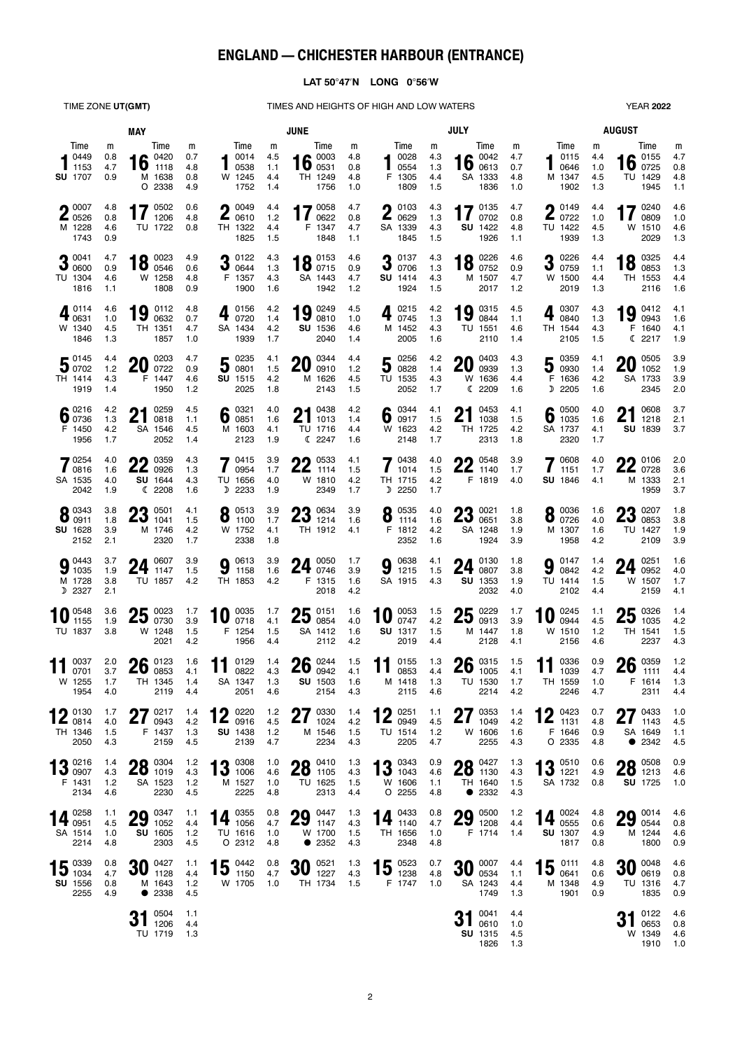# **ENGLAND — CHICHESTER HARBOUR (ENTRANCE)**

## **LAT 5047N LONG 056W**

TIME ZONE UT(GMT) TIMES AND HEIGHTS OF HIGH AND LOW WATERS YEAR 2022

| <b>MAY</b>                                          |                            |                                                |                               | <b>JUNE</b>                                                     |                               |                                                           |                               | <b>JULY</b>                                           |                               |                                                   |                               | <b>AUGUST</b>                                      |                               |                                                    |                               |
|-----------------------------------------------------|----------------------------|------------------------------------------------|-------------------------------|-----------------------------------------------------------------|-------------------------------|-----------------------------------------------------------|-------------------------------|-------------------------------------------------------|-------------------------------|---------------------------------------------------|-------------------------------|----------------------------------------------------|-------------------------------|----------------------------------------------------|-------------------------------|
| Time<br>0449<br>1153<br><b>SU</b> 1707              | m<br>0.8<br>4.7<br>0.9     | Time<br>0420<br>16<br>1118<br>M 1638<br>O 2338 | m<br>0.7<br>4.8<br>0.8<br>4.9 | Time<br>0014<br>0538<br>W 1245<br>1752                          | m<br>4.5<br>1.1<br>4.4<br>1.4 | Time<br>0003<br>16 $\frac{0003}{0531}$<br>TH 1249<br>1756 | m<br>4.8<br>0.8<br>4.8<br>1.0 | Time<br>0028<br>0554<br>F 1305<br>1809                | m<br>4.3<br>1.3<br>4.4<br>1.5 | Time<br>0042<br>16<br>0613<br>SA 1333<br>1836     | m<br>4.7<br>0.7<br>4.8<br>1.0 | Time<br>0115<br>0646<br>M 1347<br>1902             | m<br>4.4<br>1.0<br>4.5<br>1.3 | Time<br>16 $^{0155}_{0725}$<br>TU 1429<br>1945     | m<br>4.7<br>0.8<br>4.8<br>1.1 |
| $\bigcap$ 0007<br><b>▲</b> 0526<br>M 1228<br>1743   | 4.8<br>0.8<br>4.6<br>0.9   | 17<br>0502<br>1206<br>TU 1722                  | 0.6<br>4.8<br>0.8             | $\bigcap$ 0049<br>L<br>0610<br>TH 1322<br>1825                  | 4.4<br>1.2<br>4.4<br>1.5      | 70058<br>0622<br>F 1347<br>1848                           | 4.7<br>0.8<br>4.7<br>1.1      | 0103<br>ŋ<br>Z<br>0629<br>SA 1339<br>1845             | 4.3<br>1.3<br>4.3<br>1.5      | 0135<br>17<br>0702<br>SU 1422<br>1926             | 4.7<br>0.8<br>4.8<br>1.1      | $\bigcap$ 0149<br>L<br>0722<br>TU 1422<br>1939     | 4.4<br>1.0<br>4.5<br>1.3      | 0240<br>0809<br>W 1510<br>2029                     | 4.6<br>1.0<br>4.6<br>1.3      |
| 0041<br>ν<br>0600<br>TU 1304<br>1816                | 4.7<br>0.9<br>4.6<br>1.1   | 0023<br>18<br>0546<br>W 1258<br>1808           | 4.9<br>0.6<br>4.8<br>0.9      | 0122<br>J<br>0644<br>F 1357<br>1900                             | 4.3<br>1.3<br>4.3<br>1.6      | 0.0153<br><b>IO</b> 0715<br>SA 1443<br>1942               | 4.6<br>0.9<br>4.7<br>1.2      | 0137<br>2<br>ν<br>0706<br>SU 1414<br>1924             | 4.3<br>1.3<br>4.3<br>1.5      | 0226<br>10<br><u>10</u><br>0752<br>M 1507<br>2017 | 4.6<br>0.9<br>4.7<br>1.2      | 0226<br>J<br>0759<br>W 1500<br>2019                | 4.4<br>1.1<br>4.4<br>1.3      | 0325<br>10<br>0853<br>TH 1553<br>2116              | 4.4<br>1.3<br>4.4<br>1.6      |
| $4^{0114}_{0631}$<br>W 1340<br>1846                 | 4.6<br>1.0<br>4.5<br>1.3   | 0112<br>19<br>0632<br>TH 1351<br>1857          | 4.8<br>0.7<br>4.7<br>1.0      | 0156<br>0720<br>SA 1434<br>1939                                 | 4.2<br>1.4<br>4.2<br>1.7      | 19 $_{0810}^{0249}$<br>SU 1536<br>2040                    | 4.5<br>1.0<br>4.6<br>1.4      | 0215<br>0745<br>M 1452<br>2005                        | 4.2<br>1.3<br>4.3<br>1.6      | 0315<br>19<br>0844<br>TU 1551<br>2110             | 4.5<br>1.1<br>4.6<br>1.4      | 0307<br>0840<br>TH 1544<br>2105                    | 4.3<br>1.3<br>4.3<br>1.5      | 0412<br>19<br>0943<br>F 1640<br>C 2217             | 4.1<br>1.6<br>4.1<br>1.9      |
| 50145<br>TH 1414<br>1919                            | 44<br>1.2<br>4.3<br>1.4    | 0203<br>20<br>0722<br>F 1447<br>1950           | 4.7<br>0.9<br>4.6<br>1.2      | 0235<br>5<br>0801<br>SU 1515<br>2025                            | 4.1<br>1.5<br>4.2<br>1.8      | 0344<br>20<br>0910<br>M 1626<br>2143                      | 4.4<br>1.2<br>4.5<br>1.5      | 0256<br>5<br>0828<br>TU 1535<br>2052                  | 4.2<br>1.4<br>4.3<br>1.7      | 0403<br>20<br>0939<br>W 1636<br>(2209             | 4.3<br>1.3<br>4.4<br>1.6      | 0359<br>5<br>0930<br>F 1636<br>D 2205              | 4.1<br>1.4<br>4.2<br>1.6      | 0505<br>20<br>1052<br>SA 1733<br>2345              | 3.9<br>1.9<br>3.9<br>2.0      |
| 16פי ∎<br>600736<br>F 1450<br>1956                  | 4.2<br>1.3<br>4.2<br>1.7   | 0259<br>ŋ<br>21<br>0818<br>SA 1546<br>2052     | 4.5<br>1.1<br>4.5<br>1.4      | 0321<br>6<br>0851<br>M 1603<br>2123                             | 4.0<br>1.6<br>4.1<br>1.9      | 0438<br><b>Z</b> 1013<br>TU 1716<br>C 2247                | 4.2<br>1.4<br>4.4<br>1.6      | 0344<br>6<br>0917<br>W 1623<br>2148                   | 4.1<br>1.5<br>4.2<br>1.7      | 0453<br>21<br>1038<br>TH 1725<br>2313             | 4.1<br>1.5<br>4.2<br>1.8      | 0500<br>6<br>1035<br>SA 1737<br>2320               | 4.0<br>1.6<br>4.1<br>1.7      | 0608<br>Z I<br>1218<br>SU 1839                     | 3.7<br>2.1<br>3.7             |
| 70254<br>$\blacksquare$ 0816<br>SA 1535<br>2042     | 4.0<br>1.6<br>4.0<br>1.9   | 0359<br>nn<br>ZZ.<br>0926<br>SU 1644<br>(2208) | 4.3<br>1.3<br>4.3<br>1.6      | 0415<br>$\prime$<br>0954<br>TU 1656<br>D 2233                   | 3.9<br>1.7<br>4.0<br>1.9      | ባባ 0533<br>ZZ<br>1114<br>W 1810<br>2349                   | 4.1<br>1.5<br>4.2<br>1.7      | 0438<br>1<br>1014<br>TH 1715<br>D<br>2250             | 4.0<br>1.5<br>4.2<br>1.7      | 0548<br>nn<br>ZZ<br>1140<br>F 1819                | 3.9<br>1.7<br>4.0             | 0608<br>$\overline{\mathbf{7}}$<br>1151<br>SU 1846 | 4.0<br>1.7<br>4.1             | $\bigcap$ 0106<br><b>ZZ</b> 0728<br>M 1333<br>1959 | 2.0<br>3.6<br>2.1<br>3.7      |
| 0.0343<br>$\bullet$ 0911<br>SU 1628<br>2152         | 3.8<br>1.8<br>3.9<br>2.1   | ηŋ<br>0501<br>ZJ<br>1041<br>M 1746<br>2320     | 4.1<br>1.5<br>4.2<br>1.7      | 0513<br>O<br>1100<br>W 1752<br>2338                             | 3.9<br>1.7<br>4.1<br>1.8      | <b>00 0634</b><br>201214<br>TH 1912                       | 3.9<br>1.6<br>4.1             | 0535<br>O<br>O<br>1114<br>F 1812<br>2352              | 4.0<br>1.6<br>4.2<br>1.6      | ηŋ<br>0021<br>ZJ<br>0651<br>SA 1248<br>1924       | 1.8<br>3.8<br>1.9<br>3.9      | 0036<br>O<br>0726<br>M 1307<br>1958                | 1.6<br>4.0<br>1.6<br>4.2      | 0207<br>מח<br>ZJ<br>0853<br>TU 1427<br>2109        | 1.8<br>3.8<br>1.9<br>3.9      |
| $9^{0443}_{1035}$<br>M 1728<br>D 2327               | 3.7<br>1.9<br>3.8<br>2.1   | 0607<br>24<br>1147<br>TU 1857                  | 3.9<br>1.5<br>4.2             | 0613<br>9<br>1158<br>TH 1853                                    | 3.9<br>1.6<br>4.2             | $24 \t{0050 \t{0746}}$<br>F 1315<br>2018                  | 1.7<br>3.9<br>1.6<br>4.2      | 0638<br>9<br>1215<br>SA 1915                          | 4.1<br>1.5<br>4.3             | 0130<br>24<br>0807<br>SU 1353<br>2032             | 1.8<br>3.8<br>1.9<br>4.0      | 0147<br>g<br>0842<br>TU 1414<br>2102               | 1.4<br>4.2<br>1.5<br>4.4      | 0251<br>24<br>0952<br>W 1507<br>2159               | 1.6<br>4.0<br>1.7<br>4.1      |
| 0548<br>1155<br>TU 1837                             | 3.6<br>1.9<br>3.8          | 25<br>0023<br>0730<br>W 1248<br>2021           | 1.7<br>3.9<br>1.5<br>4.2      | 0035<br>10<br>0718<br>F 1254<br>1956                            | 1.7<br>4.1<br>1.5<br>4.4      | $25\degree_{0854}$<br>SA 1412<br>2112                     | 1.6<br>4.0<br>1.6<br>4.2      | 0053<br>10<br>0747<br>SU 1317<br>2019                 | 1.5<br>4.2<br>1.5<br>4.4      | 0229<br>25<br>0913<br>M 1447<br>2128              | 1.7<br>3.9<br>1.8<br>4.1      | 0245<br>10<br>0944<br>W 1510<br>2156               | 1.1<br>4.5<br>1.2<br>4.6      | 25<br>0326<br>1035<br>TH 1541<br>2237              | 1.4<br>4.2<br>1.5<br>4.3      |
| 0037<br>0701<br>W 1255<br>1954                      | 2.0<br>3.7<br>1.7<br>4.0   | 0123<br>26<br>0853<br>TH 1345<br>2119          | 1.6<br>4.1<br>1.4<br>4.4      | 0129<br>11<br>0822<br>SA 1347 1.3<br>2051                       | 1.4<br>4.3<br>4.6             | $26 \frac{0244}{0942}$<br>SU 1503 1.6<br>2154             | 1.5<br>4.1<br>4.3             | 0155<br>11<br>0853<br>M 1418<br>2115                  | 1.3<br>4.4<br>1.3<br>4.6      | $26 \tfrac{0315}{1005}$<br>TU 1530 1.7<br>2214    | 1.5<br>4.1<br>4.2             | 0336<br>11<br>1039<br>TH 1559<br>2246              | 0.9<br>4.7<br>1.0<br>4.7      | 26<br>0359<br>1111<br>F 1614 1.3<br>2311           | 1.2<br>4.4<br>4.4             |
| $10$ 0130<br>$\mathbf{Z}_{0814}$<br>TH 1346<br>2050 | 1.7<br>4.0<br>1.5<br>4.3   | $27^{0217}_{0943}$<br>0943<br>F 1437<br>2159   | 1.4<br>4.2<br>1.3<br>4.5      | $\bullet$ 0220<br>$\mathbf{Z}_{0916}$<br><b>SU</b> 1438<br>2139 | 1.2<br>4.5<br>$1.2$<br>4.7    | $27^{0330}_{1024}$<br>1024<br>M 1546<br>2234              | 1.4<br>4.2<br>1.5<br>4.3      | $10^{0251}$<br>$\mathbf{Z}_{0949}$<br>TU 1514<br>2205 | 1.1<br>4.5<br>$1.2$<br>4.7    | $27^{0353}_{1049}$<br>1049<br>W 1606<br>2255      | 1.4<br>4.2<br>1.6<br>4.3      | 12 $^{0423}_{1131}$<br>F 1646<br>O 2335            | 0.7<br>4.8<br>0.9<br>4.8      | $27^{0433}_{1143}$<br>1143<br>SA 1649<br>• 2342    | 1.0<br>4.5<br>1.1<br>4.5      |
| $13^{0216}_{0907}$<br>F 1431<br>2134                | 1.4<br>4.3<br>$1.2$<br>4.6 | $28^{0304}_{1019}$<br>SA 1523<br>2230          | 1.2<br>4.3<br>$1.2$<br>4.5    | 13 $\frac{0308}{1006}$<br>M 1527<br>2225                        | 1.0<br>4.6<br>1.0<br>4.8      | $28^{0410}_{1105}$<br>TU 1625<br>2313                     | 1.3<br>4.3<br>1.5<br>4.4      | $13^{0343}_{1043}$<br>W 1606<br>$O$ 2255              | 0.9<br>4.6<br>1.1<br>4.8      | $28^{0427}_{1130}$<br>TH 1640<br>• 2332           | 1.3<br>4.3<br>1.5<br>4.3      | 12 0510<br>$13$ 1221<br>SA 1732                    | 0.6<br>4.9<br>0.8             | $28^{0508}_{1213}$<br>SU 1725                      | 0.9<br>4.6<br>1.0             |
| 14 $\frac{0258}{0951}$<br>SA 1514<br>2214           | 1.1<br>4.5<br>1.0<br>4.8   | $29^{0347}_{1052}$<br>SU 1605<br>2303          | 1.1<br>4.4<br>$1.2$<br>4.5    | 14 $^{0355}_{1056}$<br>TU 1616<br>O 2312                        | 0.8<br>4.7<br>1.0<br>4.8      | $29^{0447}_{1147}$<br>W 1700<br>• 2352                    | 1.3<br>4.3<br>1.5<br>4.3      | 14 $^{0433}_{1140}$<br>TH 1656<br>2348                | 0.8<br>4.7<br>1.0<br>4.8      | $29 \tfrac{0500}{1208}$<br>F 1714                 | $1.2$<br>4.4<br>1.4           | 14 $^{0024}_{0555}$<br><b>SU</b> 1307<br>1817      | 4.8<br>0.6<br>4.9<br>0.8      | $29^{0014}_{0544}$<br>M 1244<br>1800               | 4.6<br>0.8<br>4.6<br>0.9      |
| $15\;\substack{0339 \ 1034}$<br>SU 1556<br>2255     | 0.8<br>4.7<br>0.8<br>4.9   | $30^{0427}_{1128}$<br>M 1643<br>• 2338         | 1.1<br>4.4<br>1.2<br>4.5      | $15^{0442}_{1150}$<br>W 1705                                    | 0.8<br>4.7<br>1.0             | $30$ $^{0521}_{1227}$<br>TH 1734                          | 1.3<br>4.3<br>1.5             | 15 $^{0523}_{1238}$<br>F 1747                         | 0.7<br>4.8<br>1.0             | $30\degree_{0534}$<br>SA 1243<br>1749             | 4.4<br>1.1<br>4.4<br>1.3      | 0111<br>15<br>0641<br>M 1348<br>1901               | 4.8<br>0.6<br>4.9<br>0.9      | $30\degree$ 0048<br>TU 1316<br>1835                | 4.6<br>0.8<br>4.7<br>0.9      |
|                                                     |                            | 0504<br>1206<br>TU 1719 1.3                    | 1.1<br>4.4                    |                                                                 |                               |                                                           |                               |                                                       |                               | 0041<br>0610<br>SU 1315<br>1826                   | 4.4<br>1.0<br>4.5<br>1.3      |                                                    |                               | 0122<br>0653<br>W 1349<br>1910                     | 4.6<br>0.8<br>4.6<br>1.0      |